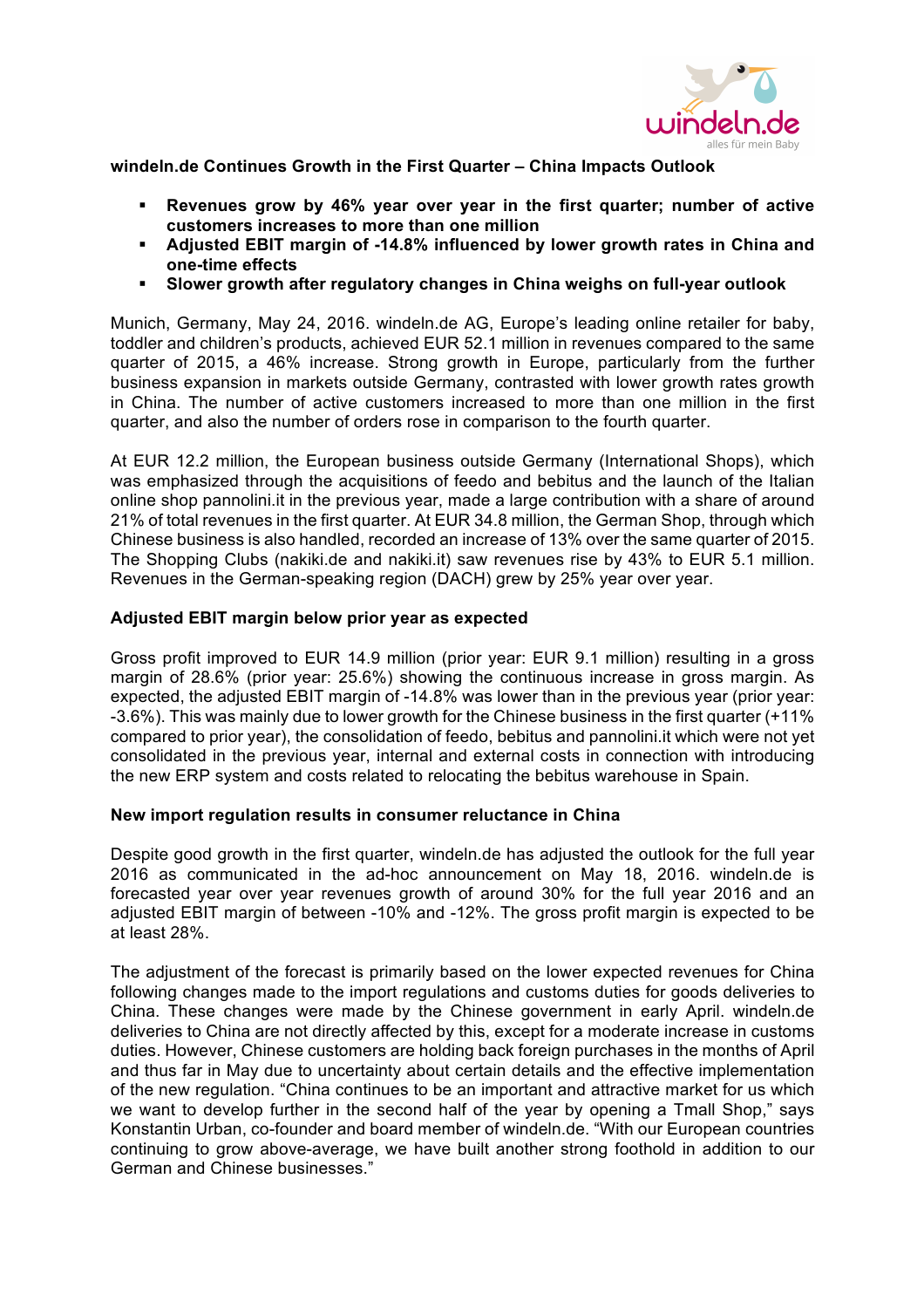

**windeln.de Continues Growth in the First Quarter – China Impacts Outlook**

- § **Revenues grow by 46% year over year in the first quarter; number of active customers increases to more than one million**
- § **Adjusted EBIT margin of -14.8% influenced by lower growth rates in China and one-time effects**
- § **Slower growth after regulatory changes in China weighs on full-year outlook**

Munich, Germany, May 24, 2016. windeln.de AG, Europe's leading online retailer for baby, toddler and children's products, achieved EUR 52.1 million in revenues compared to the same quarter of 2015, a 46% increase. Strong growth in Europe, particularly from the further business expansion in markets outside Germany, contrasted with lower growth rates growth in China. The number of active customers increased to more than one million in the first quarter, and also the number of orders rose in comparison to the fourth quarter.

At EUR 12.2 million, the European business outside Germany (International Shops), which was emphasized through the acquisitions of feedo and bebitus and the launch of the Italian online shop pannolini.it in the previous year, made a large contribution with a share of around 21% of total revenues in the first quarter. At EUR 34.8 million, the German Shop, through which Chinese business is also handled, recorded an increase of 13% over the same quarter of 2015. The Shopping Clubs (nakiki.de and nakiki.it) saw revenues rise by 43% to EUR 5.1 million. Revenues in the German-speaking region (DACH) grew by 25% year over year.

# **Adjusted EBIT margin below prior year as expected**

Gross profit improved to EUR 14.9 million (prior year: EUR 9.1 million) resulting in a gross margin of 28.6% (prior year: 25.6%) showing the continuous increase in gross margin. As expected, the adjusted EBIT margin of -14.8% was lower than in the previous year (prior year: -3.6%). This was mainly due to lower growth for the Chinese business in the first quarter (+11% compared to prior year), the consolidation of feedo, bebitus and pannolini.it which were not yet consolidated in the previous year, internal and external costs in connection with introducing the new ERP system and costs related to relocating the bebitus warehouse in Spain.

## **New import regulation results in consumer reluctance in China**

Despite good growth in the first quarter, windeln.de has adjusted the outlook for the full year 2016 as communicated in the ad-hoc announcement on May 18, 2016. windeln.de is forecasted year over year revenues growth of around 30% for the full year 2016 and an adjusted EBIT margin of between -10% and -12%. The gross profit margin is expected to be at least 28%.

The adjustment of the forecast is primarily based on the lower expected revenues for China following changes made to the import regulations and customs duties for goods deliveries to China. These changes were made by the Chinese government in early April. windeln.de deliveries to China are not directly affected by this, except for a moderate increase in customs duties. However, Chinese customers are holding back foreign purchases in the months of April and thus far in May due to uncertainty about certain details and the effective implementation of the new regulation. "China continues to be an important and attractive market for us which we want to develop further in the second half of the year by opening a Tmall Shop," says Konstantin Urban, co-founder and board member of windeln.de. "With our European countries continuing to grow above-average, we have built another strong foothold in addition to our German and Chinese businesses."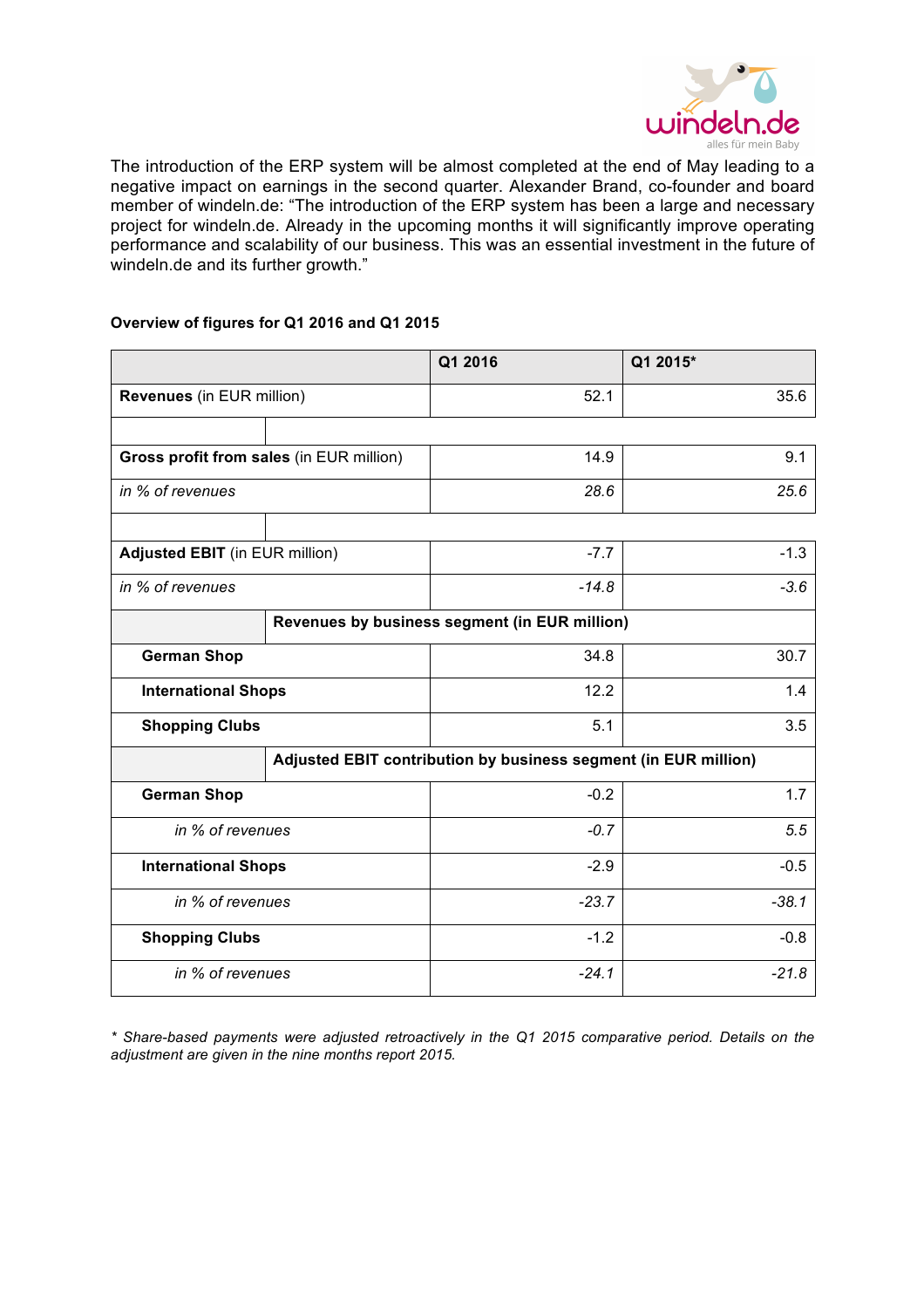

The introduction of the ERP system will be almost completed at the end of May leading to a negative impact on earnings in the second quarter. Alexander Brand, co-founder and board member of windeln.de: "The introduction of the ERP system has been a large and necessary project for windeln.de. Already in the upcoming months it will significantly improve operating performance and scalability of our business. This was an essential investment in the future of windeln.de and its further growth."

## **Overview of figures for Q1 2016 and Q1 2015**

|                                          |                                               | Q1 2016                                                         | Q1 2015* |
|------------------------------------------|-----------------------------------------------|-----------------------------------------------------------------|----------|
| Revenues (in EUR million)                |                                               | 52.1                                                            | 35.6     |
|                                          |                                               |                                                                 |          |
| Gross profit from sales (in EUR million) |                                               | 14.9                                                            | 9.1      |
| in % of revenues                         |                                               | 28.6                                                            | 25.6     |
|                                          |                                               |                                                                 |          |
| <b>Adjusted EBIT</b> (in EUR million)    |                                               | $-7.7$                                                          | $-1.3$   |
| in % of revenues                         |                                               | $-14.8$                                                         | $-3.6$   |
|                                          | Revenues by business segment (in EUR million) |                                                                 |          |
| <b>German Shop</b>                       |                                               | 34.8                                                            | 30.7     |
| <b>International Shops</b>               |                                               | 12.2                                                            | 1.4      |
| <b>Shopping Clubs</b>                    |                                               | 5.1                                                             | 3.5      |
|                                          |                                               | Adjusted EBIT contribution by business segment (in EUR million) |          |
| <b>German Shop</b>                       |                                               | $-0.2$                                                          | 1.7      |
| in % of revenues                         |                                               | $-0.7$                                                          | 5.5      |
| <b>International Shops</b>               |                                               | $-2.9$                                                          | $-0.5$   |
| in % of revenues                         |                                               | $-23.7$                                                         | $-38.1$  |
| <b>Shopping Clubs</b>                    |                                               | $-1.2$                                                          | $-0.8$   |
| in % of revenues                         |                                               | $-24.1$                                                         | $-21.8$  |

*\* Share-based payments were adjusted retroactively in the Q1 2015 comparative period. Details on the adjustment are given in the nine months report 2015.*